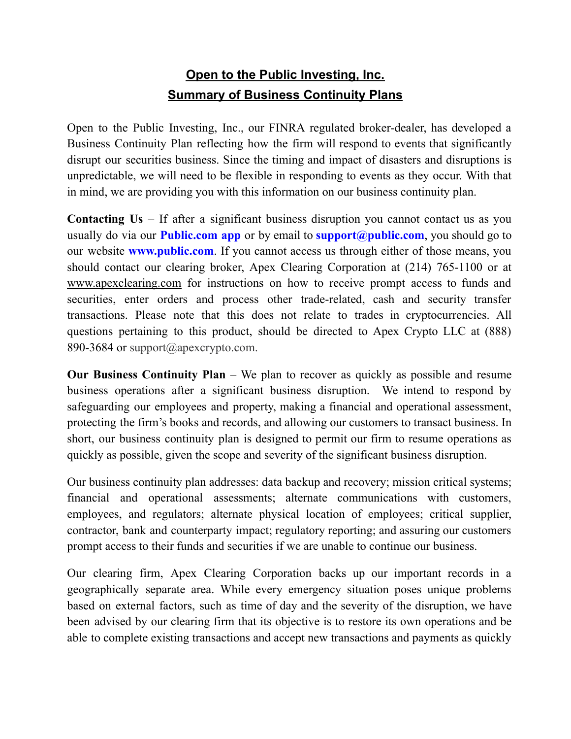## **Open to the Public Investing, Inc. Summary of Business Continuity Plans**

Open to the Public Investing, Inc., our FINRA regulated broker-dealer, has developed a Business Continuity Plan reflecting how the firm will respond to events that significantly disrupt our securities business. Since the timing and impact of disasters and disruptions is unpredictable, we will need to be flexible in responding to events as they occur. With that in mind, we are providing you with this information on our business continuity plan.

**Contacting Us** – If after a significant business disruption you cannot contact us as you usually do via our **Public.com app** or by email to **support@public.com**, you should go to our website **www.public.com**. If you cannot access us through either of those means, you should contact our clearing broker, Apex Clearing Corporation at (214) 765-1100 or at www.apexclearing.com for instructions on how to receive prompt access to funds and securities, enter orders and process other trade-related, cash and security transfer transactions. Please note that this does not relate to trades in cryptocurrencies. All questions pertaining to this product, should be directed to Apex Crypto LLC at (888) 890-3684 or support@apexcrypto.com.

**Our Business Continuity Plan** – We plan to recover as quickly as possible and resume business operations after a significant business disruption. We intend to respond by safeguarding our employees and property, making a financial and operational assessment, protecting the firm's books and records, and allowing our customers to transact business. In short, our business continuity plan is designed to permit our firm to resume operations as quickly as possible, given the scope and severity of the significant business disruption.

Our business continuity plan addresses: data backup and recovery; mission critical systems; financial and operational assessments; alternate communications with customers, employees, and regulators; alternate physical location of employees; critical supplier, contractor, bank and counterparty impact; regulatory reporting; and assuring our customers prompt access to their funds and securities if we are unable to continue our business.

Our clearing firm, Apex Clearing Corporation backs up our important records in a geographically separate area. While every emergency situation poses unique problems based on external factors, such as time of day and the severity of the disruption, we have been advised by our clearing firm that its objective is to restore its own operations and be able to complete existing transactions and accept new transactions and payments as quickly